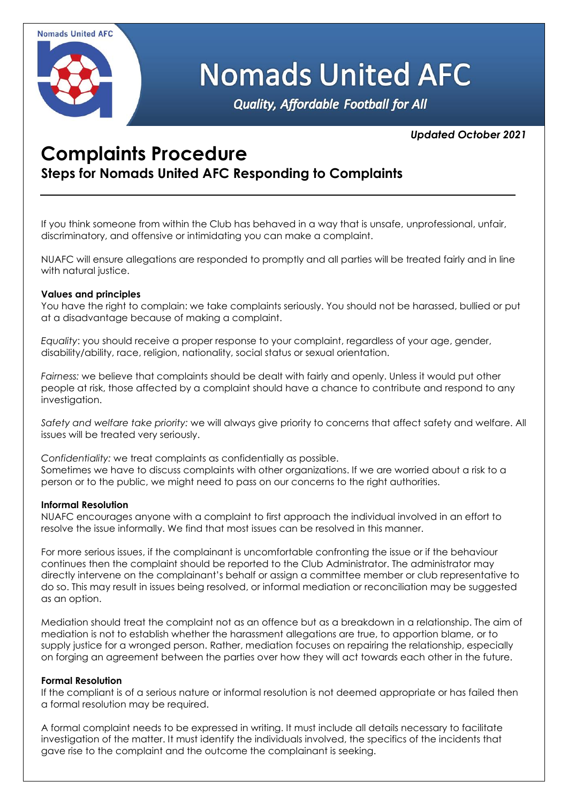

# **Nomads United AFC**

Quality, Affordable Football for All

### *Updated October 2021*

## **Complaints Procedure**

**Steps for Nomads United AFC Responding to Complaints**

If you think someone from within the Club has behaved in a way that is unsafe, unprofessional, unfair, discriminatory, and offensive or intimidating you can make a complaint.

NUAFC will ensure allegations are responded to promptly and all parties will be treated fairly and in line with natural justice.

#### **Values and principles**

You have the right to complain: we take complaints seriously. You should not be harassed, bullied or put at a disadvantage because of making a complaint.

*Equality*: you should receive a proper response to your complaint, regardless of your age, gender, disability/ability, race, religion, nationality, social status or sexual orientation.

*Fairness:* we believe that complaints should be dealt with fairly and openly. Unless it would put other people at risk, those affected by a complaint should have a chance to contribute and respond to any investigation.

*Safety and welfare take priority:* we will always give priority to concerns that affect safety and welfare. All issues will be treated very seriously.

*Confidentiality:* we treat complaints as confidentially as possible. Sometimes we have to discuss complaints with other organizations. If we are worried about a risk to a person or to the public, we might need to pass on our concerns to the right authorities.

#### **Informal Resolution**

NUAFC encourages anyone with a complaint to first approach the individual involved in an effort to resolve the issue informally. We find that most issues can be resolved in this manner.

For more serious issues, if the complainant is uncomfortable confronting the issue or if the behaviour continues then the complaint should be reported to the Club Administrator. The administrator may directly intervene on the complainant's behalf or assign a committee member or club representative to do so. This may result in issues being resolved, or informal mediation or reconciliation may be suggested as an option.

Mediation should treat the complaint not as an offence but as a breakdown in a relationship. The aim of mediation is not to establish whether the harassment allegations are true, to apportion blame, or to supply justice for a wronged person. Rather, mediation focuses on repairing the relationship, especially on forging an agreement between the parties over how they will act towards each other in the future.

#### **Formal Resolution**

If the compliant is of a serious nature or informal resolution is not deemed appropriate or has failed then a formal resolution may be required.

A formal complaint needs to be expressed in writing. It must include all details necessary to facilitate investigation of the matter. It must identify the individuals involved, the specifics of the incidents that gave rise to the complaint and the outcome the complainant is seeking.